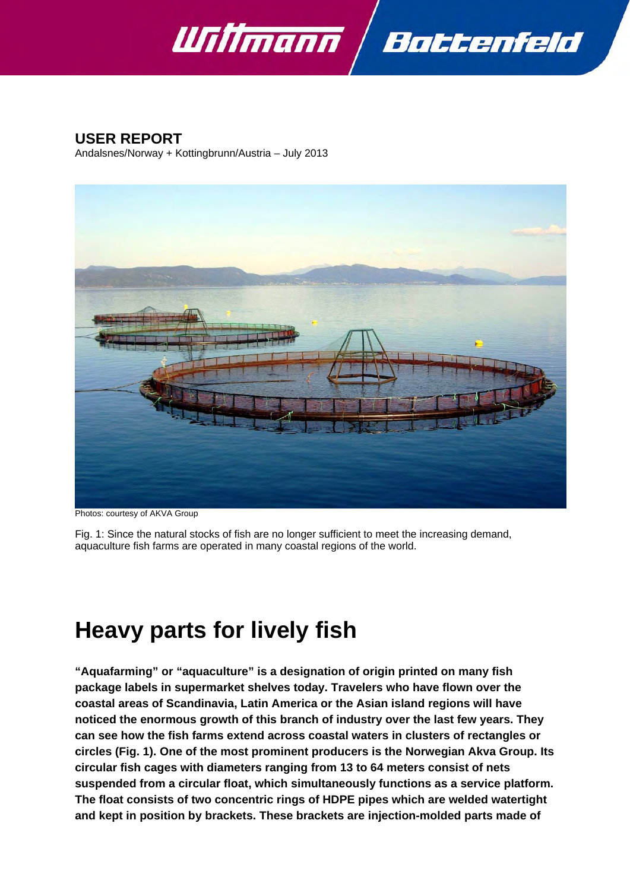

Battenfeld



Andalsnes/Norway + Kottingbrunn/Austria – July 2013



Photos: courtesy of AKVA Group

Fig. 1: Since the natural stocks of fish are no longer sufficient to meet the increasing demand, aquaculture fish farms are operated in many coastal regions of the world.

# **Heavy parts for lively fish**

**"Aquafarming" or "aquaculture" is a designation of origin printed on many fish package labels in supermarket shelves today. Travelers who have flown over the coastal areas of Scandinavia, Latin America or the Asian island regions will have noticed the enormous growth of this branch of industry over the last few years. They can see how the fish farms extend across coastal waters in clusters of rectangles or circles (Fig. 1). One of the most prominent producers is the Norwegian Akva Group. Its circular fish cages with diameters ranging from 13 to 64 meters consist of nets suspended from a circular float, which simultaneously functions as a service platform. The float consists of two concentric rings of HDPE pipes which are welded watertight and kept in position by brackets. These brackets are injection-molded parts made of**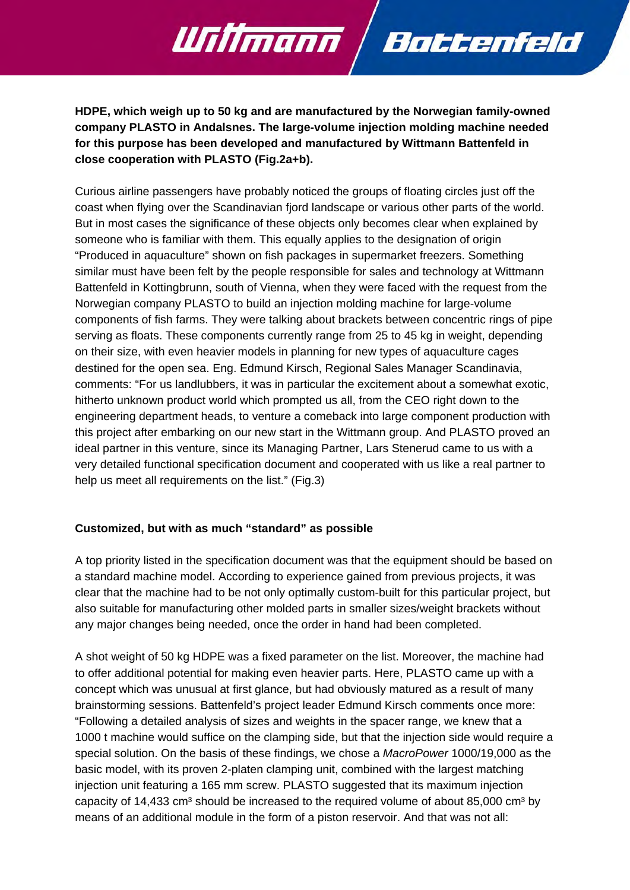**HDPE, which weigh up to 50 kg and are manufactured by the Norwegian family-owned company PLASTO in Andalsnes. The large-volume injection molding machine needed for this purpose has been developed and manufactured by Wittmann Battenfeld in close cooperation with PLASTO (Fig.2a+b).** 

Battenfeld

Willmann

Curious airline passengers have probably noticed the groups of floating circles just off the coast when flying over the Scandinavian fjord landscape or various other parts of the world. But in most cases the significance of these objects only becomes clear when explained by someone who is familiar with them. This equally applies to the designation of origin "Produced in aquaculture" shown on fish packages in supermarket freezers. Something similar must have been felt by the people responsible for sales and technology at Wittmann Battenfeld in Kottingbrunn, south of Vienna, when they were faced with the request from the Norwegian company PLASTO to build an injection molding machine for large-volume components of fish farms. They were talking about brackets between concentric rings of pipe serving as floats. These components currently range from 25 to 45 kg in weight, depending on their size, with even heavier models in planning for new types of aquaculture cages destined for the open sea. Eng. Edmund Kirsch, Regional Sales Manager Scandinavia, comments: "For us landlubbers, it was in particular the excitement about a somewhat exotic, hitherto unknown product world which prompted us all, from the CEO right down to the engineering department heads, to venture a comeback into large component production with this project after embarking on our new start in the Wittmann group. And PLASTO proved an ideal partner in this venture, since its Managing Partner, Lars Stenerud came to us with a very detailed functional specification document and cooperated with us like a real partner to help us meet all requirements on the list." (Fig.3)

#### **Customized, but with as much "standard" as possible**

A top priority listed in the specification document was that the equipment should be based on a standard machine model. According to experience gained from previous projects, it was clear that the machine had to be not only optimally custom-built for this particular project, but also suitable for manufacturing other molded parts in smaller sizes/weight brackets without any major changes being needed, once the order in hand had been completed.

A shot weight of 50 kg HDPE was a fixed parameter on the list. Moreover, the machine had to offer additional potential for making even heavier parts. Here, PLASTO came up with a concept which was unusual at first glance, but had obviously matured as a result of many brainstorming sessions. Battenfeld's project leader Edmund Kirsch comments once more: "Following a detailed analysis of sizes and weights in the spacer range, we knew that a 1000 t machine would suffice on the clamping side, but that the injection side would require a special solution. On the basis of these findings, we chose a *MacroPower* 1000/19,000 as the basic model, with its proven 2-platen clamping unit, combined with the largest matching injection unit featuring a 165 mm screw. PLASTO suggested that its maximum injection capacity of  $14,433$  cm<sup>3</sup> should be increased to the required volume of about 85,000 cm<sup>3</sup> by means of an additional module in the form of a piston reservoir. And that was not all: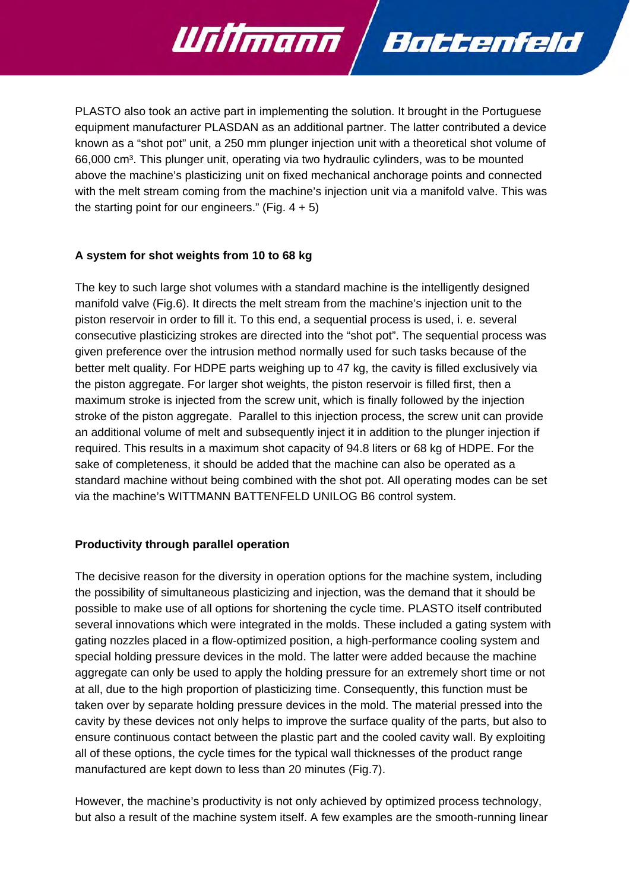PLASTO also took an active part in implementing the solution. It brought in the Portuguese equipment manufacturer PLASDAN as an additional partner. The latter contributed a device known as a "shot pot" unit, a 250 mm plunger injection unit with a theoretical shot volume of 66,000 cm³. This plunger unit, operating via two hydraulic cylinders, was to be mounted above the machine's plasticizing unit on fixed mechanical anchorage points and connected with the melt stream coming from the machine's injection unit via a manifold valve. This was the starting point for our engineers." (Fig.  $4 + 5$ )

Bottenfeld

<u> UTilimann</u>

## **A system for shot weights from 10 to 68 kg**

The key to such large shot volumes with a standard machine is the intelligently designed manifold valve (Fig.6). It directs the melt stream from the machine's injection unit to the piston reservoir in order to fill it. To this end, a sequential process is used, i. e. several consecutive plasticizing strokes are directed into the "shot pot". The sequential process was given preference over the intrusion method normally used for such tasks because of the better melt quality. For HDPE parts weighing up to 47 kg, the cavity is filled exclusively via the piston aggregate. For larger shot weights, the piston reservoir is filled first, then a maximum stroke is injected from the screw unit, which is finally followed by the injection stroke of the piston aggregate. Parallel to this injection process, the screw unit can provide an additional volume of melt and subsequently inject it in addition to the plunger injection if required. This results in a maximum shot capacity of 94.8 liters or 68 kg of HDPE. For the sake of completeness, it should be added that the machine can also be operated as a standard machine without being combined with the shot pot. All operating modes can be set via the machine's WITTMANN BATTENFELD UNILOG B6 control system.

#### **Productivity through parallel operation**

The decisive reason for the diversity in operation options for the machine system, including the possibility of simultaneous plasticizing and injection, was the demand that it should be possible to make use of all options for shortening the cycle time. PLASTO itself contributed several innovations which were integrated in the molds. These included a gating system with gating nozzles placed in a flow-optimized position, a high-performance cooling system and special holding pressure devices in the mold. The latter were added because the machine aggregate can only be used to apply the holding pressure for an extremely short time or not at all, due to the high proportion of plasticizing time. Consequently, this function must be taken over by separate holding pressure devices in the mold. The material pressed into the cavity by these devices not only helps to improve the surface quality of the parts, but also to ensure continuous contact between the plastic part and the cooled cavity wall. By exploiting all of these options, the cycle times for the typical wall thicknesses of the product range manufactured are kept down to less than 20 minutes (Fig.7).

However, the machine's productivity is not only achieved by optimized process technology, but also a result of the machine system itself. A few examples are the smooth-running linear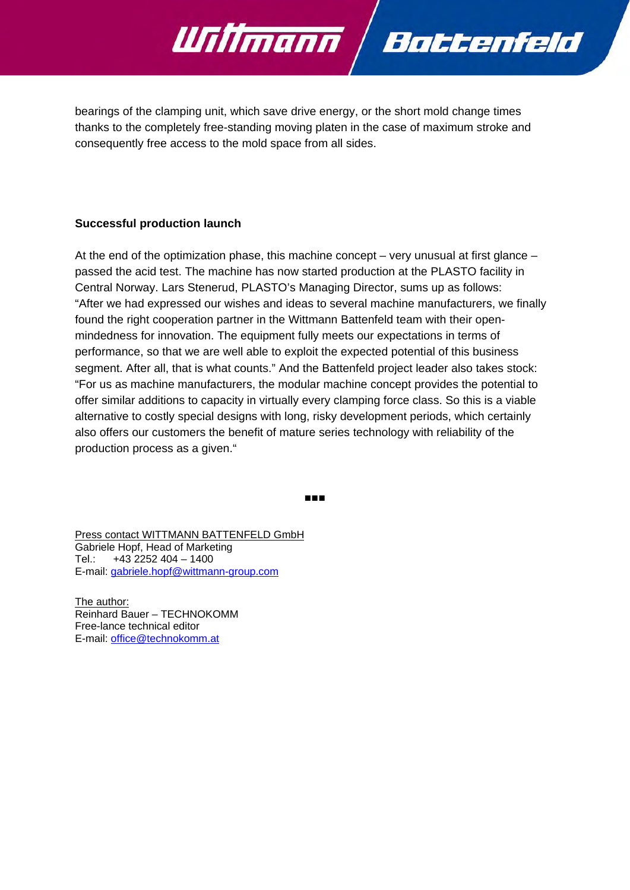

bearings of the clamping unit, which save drive energy, or the short mold change times thanks to the completely free-standing moving platen in the case of maximum stroke and consequently free access to the mold space from all sides.

#### **Successful production launch**

At the end of the optimization phase, this machine concept – very unusual at first glance – passed the acid test. The machine has now started production at the PLASTO facility in Central Norway. Lars Stenerud, PLASTO's Managing Director, sums up as follows: "After we had expressed our wishes and ideas to several machine manufacturers, we finally found the right cooperation partner in the Wittmann Battenfeld team with their openmindedness for innovation. The equipment fully meets our expectations in terms of performance, so that we are well able to exploit the expected potential of this business segment. After all, that is what counts." And the Battenfeld project leader also takes stock: "For us as machine manufacturers, the modular machine concept provides the potential to offer similar additions to capacity in virtually every clamping force class. So this is a viable alternative to costly special designs with long, risky development periods, which certainly also offers our customers the benefit of mature series technology with reliability of the production process as a given."

■■■

Press contact WITTMANN BATTENFELD GmbH Gabriele Hopf, Head of Marketing Tel.: +43 2252 404 – 1400 E-mail: gabriele.hopf@wittmann-group.com

The author: Reinhard Bauer – TECHNOKOMM Free-lance technical editor E-mail: office@technokomm.at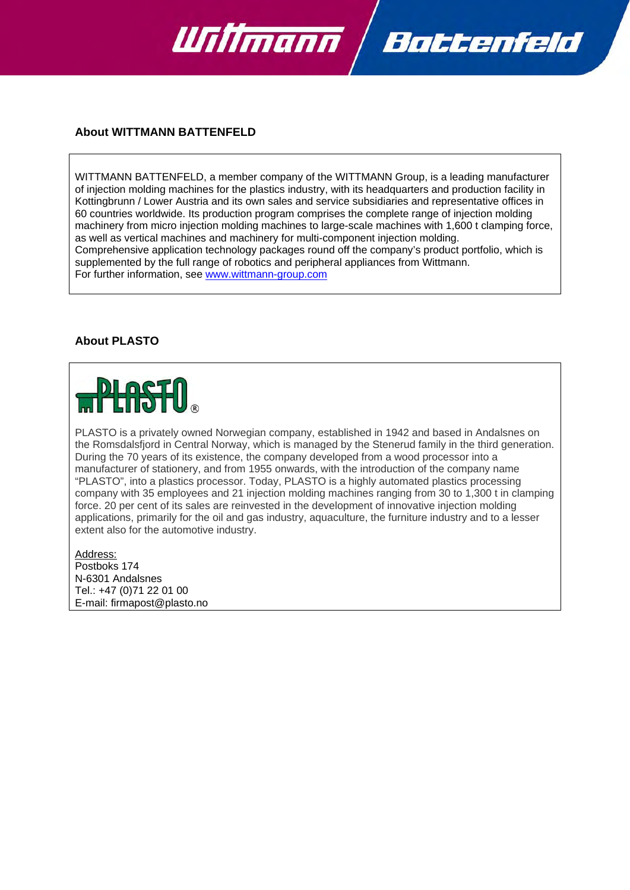

#### **About WITTMANN BATTENFELD**

WITTMANN BATTENFELD, a member company of the WITTMANN Group, is a leading manufacturer of injection molding machines for the plastics industry, with its headquarters and production facility in Kottingbrunn / Lower Austria and its own sales and service subsidiaries and representative offices in 60 countries worldwide. Its production program comprises the complete range of injection molding machinery from micro injection molding machines to large-scale machines with 1,600 t clamping force, as well as vertical machines and machinery for multi-component injection molding. Comprehensive application technology packages round off the company's product portfolio, which is supplemented by the full range of robotics and peripheral appliances from Wittmann. For further information, see www.wittmann-group.com

#### **About PLASTO**



PLASTO is a privately owned Norwegian company, established in 1942 and based in Andalsnes on the Romsdalsfjord in Central Norway, which is managed by the Stenerud family in the third generation. During the 70 years of its existence, the company developed from a wood processor into a manufacturer of stationery, and from 1955 onwards, with the introduction of the company name "PLASTO", into a plastics processor. Today, PLASTO is a highly automated plastics processing company with 35 employees and 21 injection molding machines ranging from 30 to 1,300 t in clamping force. 20 per cent of its sales are reinvested in the development of innovative injection molding applications, primarily for the oil and gas industry, aquaculture, the furniture industry and to a lesser extent also for the automotive industry.

Address: Postboks 174 N-6301 Andalsnes Tel.: +47 (0)71 22 01 00 E-mail: firmapost@plasto.no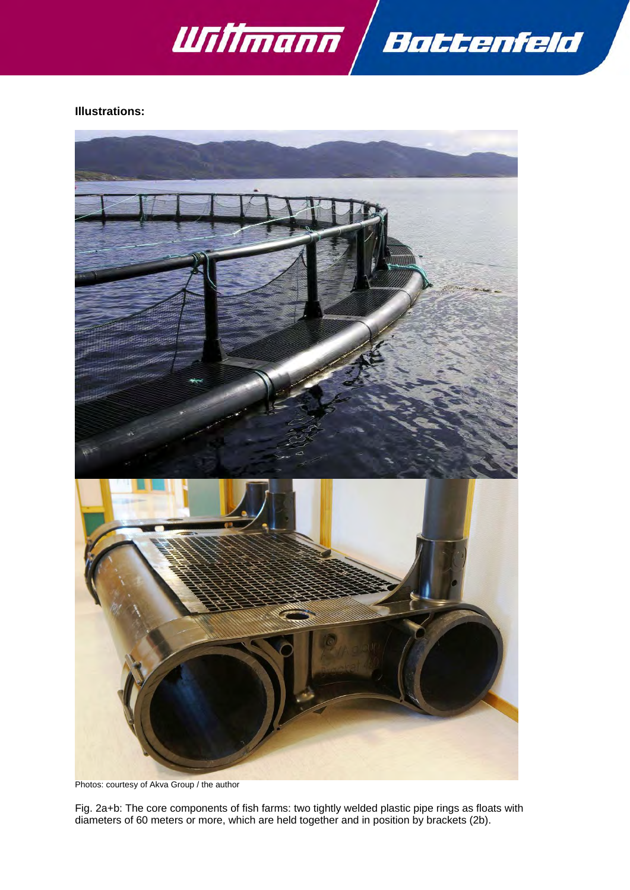

### **Illustrations:**



Photos: courtesy of Akva Group / the author

Fig. 2a+b: The core components of fish farms: two tightly welded plastic pipe rings as floats with diameters of 60 meters or more, which are held together and in position by brackets (2b).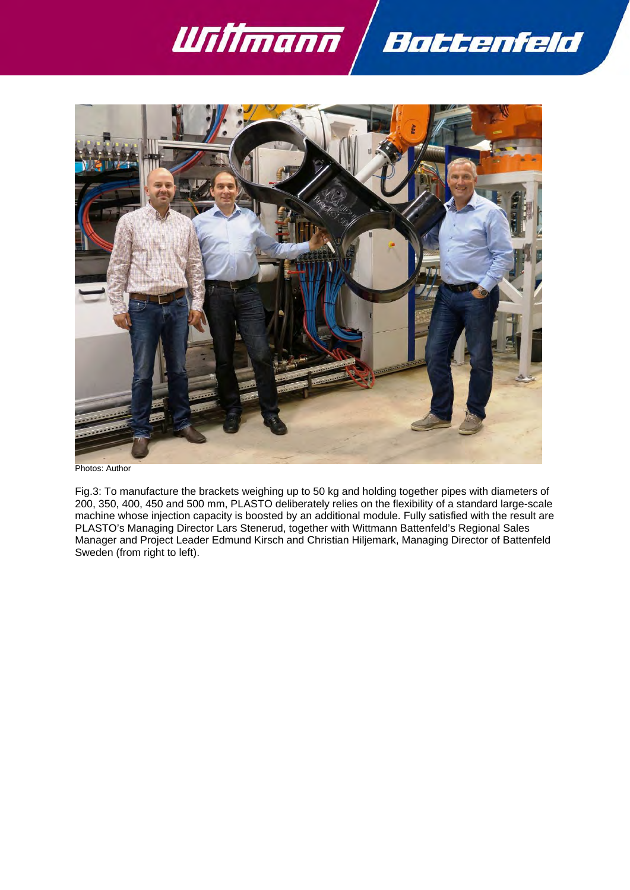



Fig.3: To manufacture the brackets weighing up to 50 kg and holding together pipes with diameters of 200, 350, 400, 450 and 500 mm, PLASTO deliberately relies on the flexibility of a standard large-scale machine whose injection capacity is boosted by an additional module. Fully satisfied with the result are PLASTO's Managing Director Lars Stenerud, together with Wittmann Battenfeld's Regional Sales Manager and Project Leader Edmund Kirsch and Christian Hiljemark, Managing Director of Battenfeld Sweden (from right to left).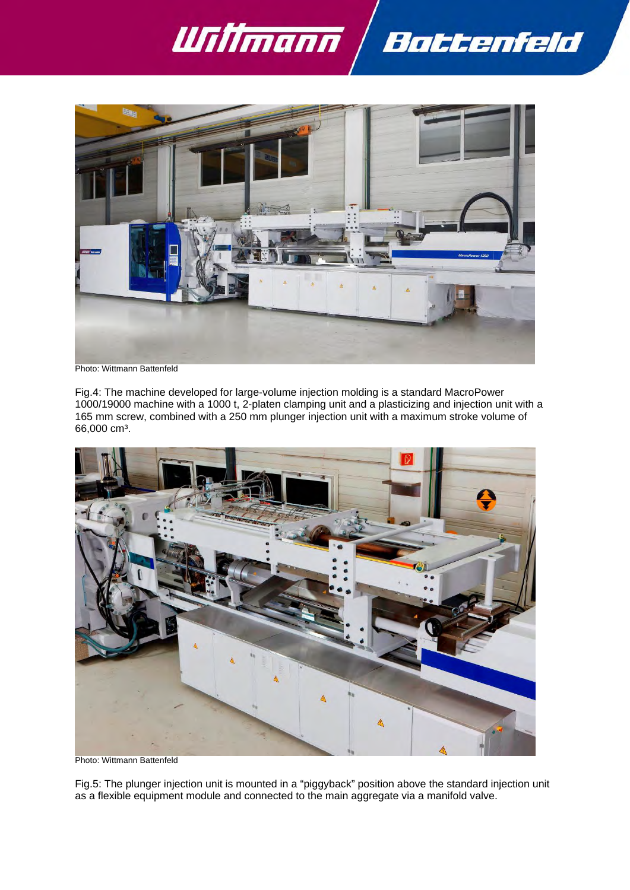



Photo: Wittmann Battenfeld

Fig.4: The machine developed for large-volume injection molding is a standard MacroPower 1000/19000 machine with a 1000 t, 2-platen clamping unit and a plasticizing and injection unit with a 165 mm screw, combined with a 250 mm plunger injection unit with a maximum stroke volume of 66,000 cm<sup>3</sup>.



Photo: Wittmann Battenfeld

Fig.5: The plunger injection unit is mounted in a "piggyback" position above the standard injection unit as a flexible equipment module and connected to the main aggregate via a manifold valve.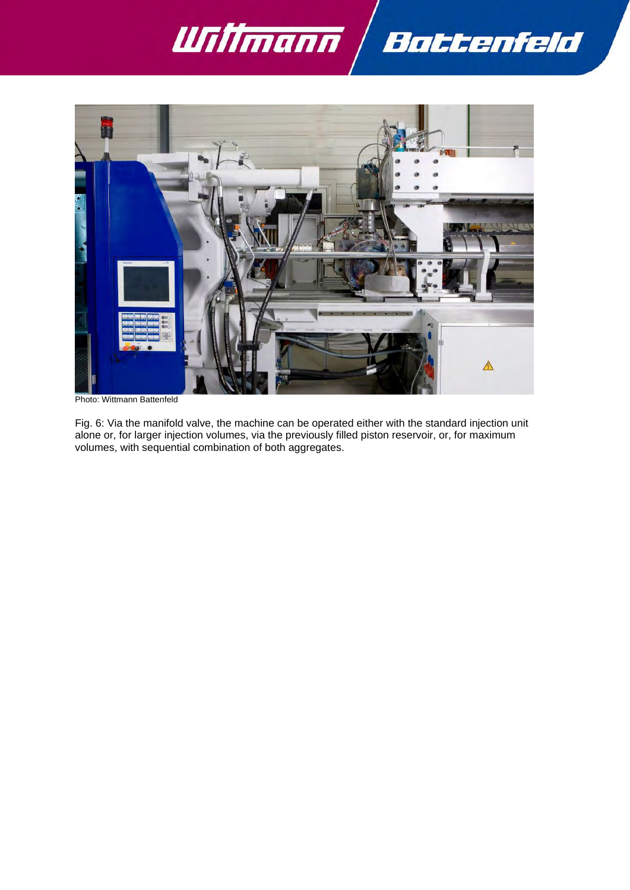



Photo: Wittmann Battenfeld

Fig. 6: Via the manifold valve, the machine can be operated either with the standard injection unit alone or, for larger injection volumes, via the previously filled piston reservoir, or, for maximum volumes, with sequential combination of both aggregates.